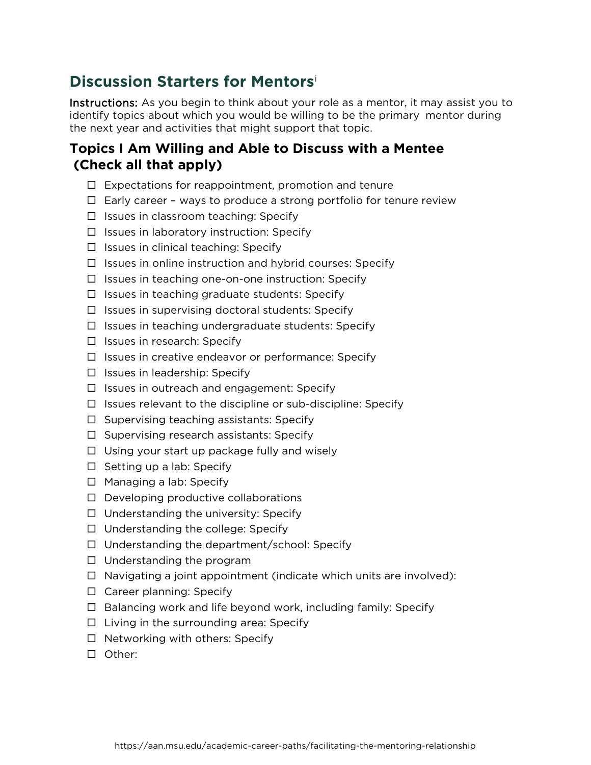## **Discussion Starters for Mentors**[i](#page-1-0)

Instructions: As you begin to think about your role as a mentor, it may assist you to identify topics about which you would be willing to be the primary mentor during the next year and activities that might support that topic.

## **Topics I Am Willing and Able to Discuss with a Mentee (Check all that apply)**

- $\Box$  Expectations for reappointment, promotion and tenure
- $\Box$  Early career ways to produce a strong portfolio for tenure review
- $\Box$  Issues in classroom teaching: Specify
- $\Box$  Issues in laboratory instruction: Specify
- $\Box$  Issues in clinical teaching: Specify
- $\Box$  Issues in online instruction and hybrid courses: Specify
- $\Box$  Issues in teaching one-on-one instruction: Specify
- $\Box$  Issues in teaching graduate students: Specify
- $\Box$  Issues in supervising doctoral students: Specify
- $\Box$  Issues in teaching undergraduate students: Specify
- $\square$  Issues in research: Specify
- $\Box$  Issues in creative endeavor or performance: Specify
- $\Box$  Issues in leadership: Specify
- $\Box$  Issues in outreach and engagement: Specify
- $\Box$  Issues relevant to the discipline or sub-discipline: Specify
- $\Box$  Supervising teaching assistants: Specify
- $\Box$  Supervising research assistants: Specify
- $\Box$  Using your start up package fully and wisely
- $\square$  Setting up a lab: Specify
- $\Box$  Managing a lab: Specify
- $\Box$  Developing productive collaborations
- $\Box$  Understanding the university: Specify
- $\Box$  Understanding the college: Specify
- $\Box$  Understanding the department/school: Specify
- $\Box$  Understanding the program
- $\Box$  Navigating a joint appointment (indicate which units are involved):
- $\Box$  Career planning: Specify
- $\Box$  Balancing work and life beyond work, including family: Specify
- $\Box$  Living in the surrounding area: Specify
- $\Box$  Networking with others: Specify
- Other: